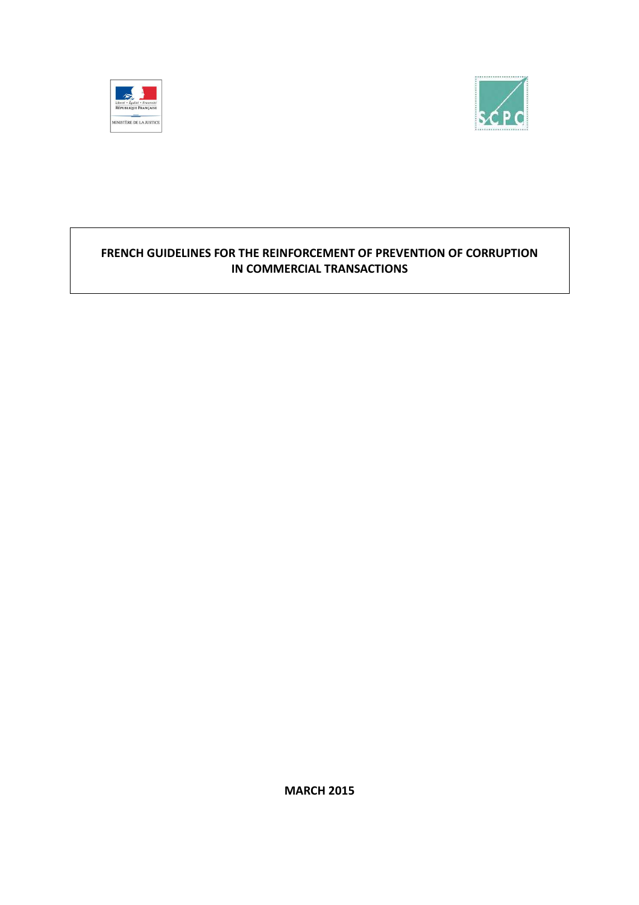



# **FRENCH GUIDELINES FOR THE REINFORCEMENT OF PREVENTION OF CORRUPTION IN COMMERCIAL TRANSACTIONS**

**MARCH 2015**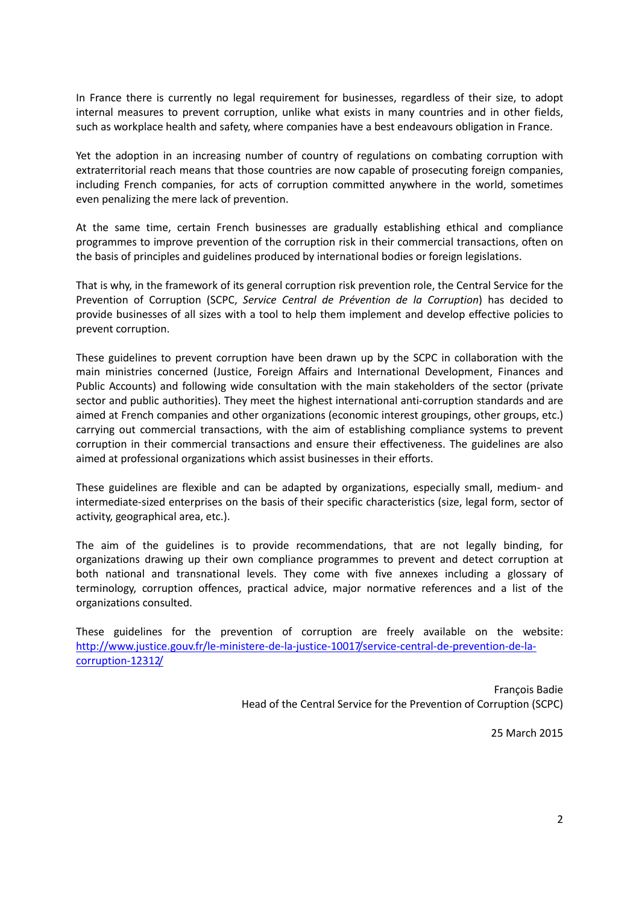In France there is currently no legal requirement for businesses, regardless of their size, to adopt internal measures to prevent corruption, unlike what exists in many countries and in other fields, such as workplace health and safety, where companies have a best endeavours obligation in France.

Yet the adoption in an increasing number of country of regulations on combating corruption with extraterritorial reach means that those countries are now capable of prosecuting foreign companies, including French companies, for acts of corruption committed anywhere in the world, sometimes even penalizing the mere lack of prevention.

At the same time, certain French businesses are gradually establishing ethical and compliance programmes to improve prevention of the corruption risk in their commercial transactions, often on the basis of principles and guidelines produced by international bodies or foreign legislations.

That is why, in the framework of its general corruption risk prevention role, the Central Service for the Prevention of Corruption (SCPC, *Service Central de Prévention de la Corruption*) has decided to provide businesses of all sizes with a tool to help them implement and develop effective policies to prevent corruption.

These guidelines to prevent corruption have been drawn up by the SCPC in collaboration with the main ministries concerned (Justice, Foreign Affairs and International Development, Finances and Public Accounts) and following wide consultation with the main stakeholders of the sector (private sector and public authorities). They meet the highest international anti-corruption standards and are aimed at French companies and other organizations (economic interest groupings, other groups, etc.) carrying out commercial transactions, with the aim of establishing compliance systems to prevent corruption in their commercial transactions and ensure their effectiveness. The guidelines are also aimed at professional organizations which assist businesses in their efforts.

These guidelines are flexible and can be adapted by organizations, especially small, medium- and intermediate-sized enterprises on the basis of their specific characteristics (size, legal form, sector of activity, geographical area, etc.).

The aim of the guidelines is to provide recommendations, that are not legally binding, for organizations drawing up their own compliance programmes to prevent and detect corruption at both national and transnational levels. They come with five annexes including a glossary of terminology, corruption offences, practical advice, major normative references and a list of the organizations consulted.

These guidelines for the prevention of corruption are freely available on the website: http://www.justice.gouv.fr/le-ministere-de-la-justice-10017/service-central-de-prevention-de-lacorruption-12312/

> François Badie Head of the Central Service for the Prevention of Corruption (SCPC)

> > 25 March 2015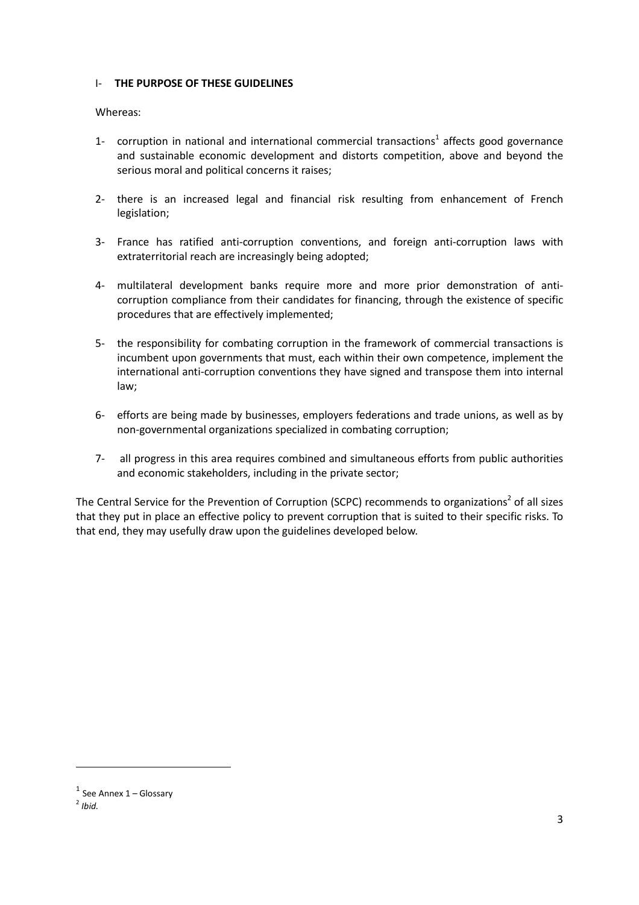### I- **THE PURPOSE OF THESE GUIDELINES**

### Whereas:

- 1- corruption in national and international commercial transactions<sup>1</sup> affects good governance and sustainable economic development and distorts competition, above and beyond the serious moral and political concerns it raises;
- 2- there is an increased legal and financial risk resulting from enhancement of French legislation;
- 3- France has ratified anti-corruption conventions, and foreign anti-corruption laws with extraterritorial reach are increasingly being adopted;
- 4- multilateral development banks require more and more prior demonstration of anticorruption compliance from their candidates for financing, through the existence of specific procedures that are effectively implemented;
- 5- the responsibility for combating corruption in the framework of commercial transactions is incumbent upon governments that must, each within their own competence, implement the international anti-corruption conventions they have signed and transpose them into internal law;
- 6- efforts are being made by businesses, employers federations and trade unions, as well as by non-governmental organizations specialized in combating corruption;
- 7- all progress in this area requires combined and simultaneous efforts from public authorities and economic stakeholders, including in the private sector;

The Central Service for the Prevention of Corruption (SCPC) recommends to organizations<sup>2</sup> of all sizes that they put in place an effective policy to prevent corruption that is suited to their specific risks. To that end, they may usefully draw upon the guidelines developed below.

 $\overline{\phantom{a}}$ 

 $1$  See Annex 1 – Glossary

<sup>2</sup> *Ibid.*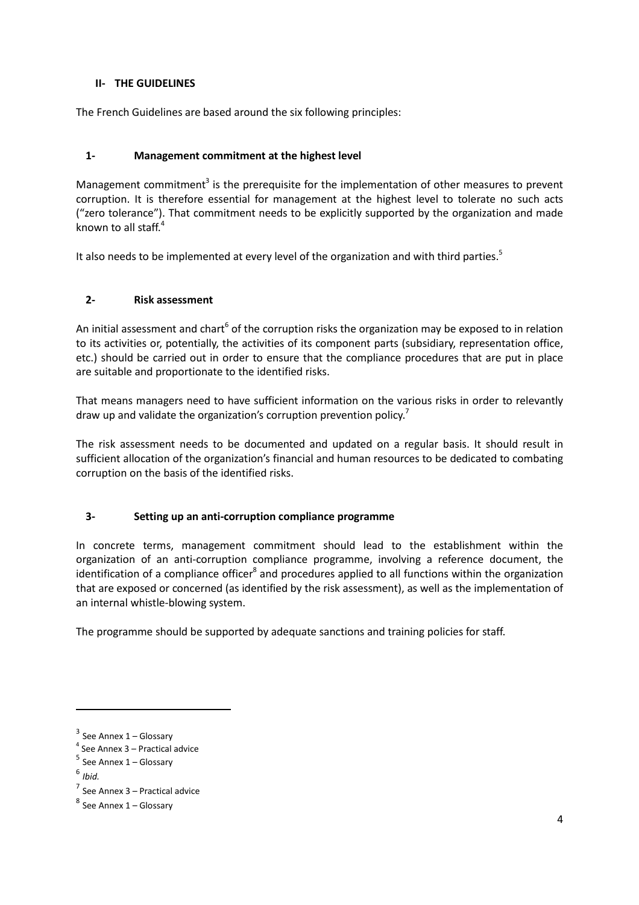# **II- THE GUIDELINES**

The French Guidelines are based around the six following principles:

# **1- Management commitment at the highest level**

Management commitment<sup>3</sup> is the prerequisite for the implementation of other measures to prevent corruption. It is therefore essential for management at the highest level to tolerate no such acts ("zero tolerance"). That commitment needs to be explicitly supported by the organization and made known to all staff. $4$ 

It also needs to be implemented at every level of the organization and with third parties.<sup>5</sup>

# **2- Risk assessment**

An initial assessment and chart<sup>6</sup> of the corruption risks the organization may be exposed to in relation to its activities or, potentially, the activities of its component parts (subsidiary, representation office, etc.) should be carried out in order to ensure that the compliance procedures that are put in place are suitable and proportionate to the identified risks.

That means managers need to have sufficient information on the various risks in order to relevantly draw up and validate the organization's corruption prevention policy.<sup>7</sup>

The risk assessment needs to be documented and updated on a regular basis. It should result in sufficient allocation of the organization's financial and human resources to be dedicated to combating corruption on the basis of the identified risks.

# **3- Setting up an anti-corruption compliance programme**

In concrete terms, management commitment should lead to the establishment within the organization of an anti-corruption compliance programme, involving a reference document, the identification of a compliance officer<sup>8</sup> and procedures applied to all functions within the organization that are exposed or concerned (as identified by the risk assessment), as well as the implementation of an internal whistle-blowing system.

The programme should be supported by adequate sanctions and training policies for staff.

 $\overline{\phantom{a}}$ 

 $3$  See Annex 1 – Glossary

<sup>4</sup> See Annex 3 – Practical advice

<sup>&</sup>lt;sup>5</sup> See Annex 1 – Glossary

<sup>6</sup> *Ibid.*

<sup>7</sup> See Annex 3 – Practical advice

<sup>&</sup>lt;sup>8</sup> See Annex 1 – Glossary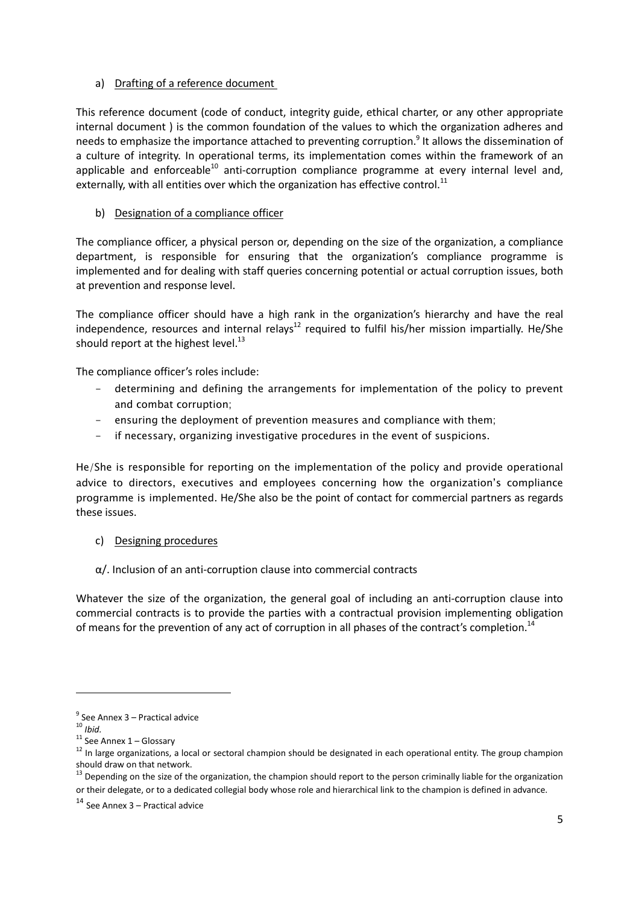# a) Drafting of a reference document

This reference document (code of conduct, integrity guide, ethical charter, or any other appropriate internal document ) is the common foundation of the values to which the organization adheres and needs to emphasize the importance attached to preventing corruption.<sup>9</sup> It allows the dissemination of a culture of integrity. In operational terms, its implementation comes within the framework of an applicable and enforceable<sup>10</sup> anti-corruption compliance programme at every internal level and, externally, with all entities over which the organization has effective control.<sup>11</sup>

# b) Designation of a compliance officer

The compliance officer, a physical person or, depending on the size of the organization, a compliance department, is responsible for ensuring that the organization's compliance programme is implemented and for dealing with staff queries concerning potential or actual corruption issues, both at prevention and response level.

The compliance officer should have a high rank in the organization's hierarchy and have the real independence, resources and internal relays<sup>12</sup> required to fulfil his/her mission impartially. He/She should report at the highest level. $^{13}$ 

The compliance officer's roles include:

- determining and defining the arrangements for implementation of the policy to prevent and combat corruption;
- ensuring the deployment of prevention measures and compliance with them;
- if necessary, organizing investigative procedures in the event of suspicions.

He/She is responsible for reporting on the implementation of the policy and provide operational advice to directors, executives and employees concerning how the organization's compliance programme is implemented. He/She also be the point of contact for commercial partners as regards these issues.

- c) Designing procedures
- α/. Inclusion of an anti-corruption clause into commercial contracts

Whatever the size of the organization, the general goal of including an anti-corruption clause into commercial contracts is to provide the parties with a contractual provision implementing obligation of means for the prevention of any act of corruption in all phases of the contract's completion.<sup>14</sup>

<sup>&</sup>lt;sup>9</sup> See Annex 3 – Practical advice

<sup>10</sup> *Ibid.*

 $11$  See Annex  $1$  – Glossary

<sup>&</sup>lt;sup>12</sup> In large organizations, a local or sectoral champion should be designated in each operational entity. The group champion should draw on that network.

<sup>&</sup>lt;sup>13</sup> Depending on the size of the organization, the champion should report to the person criminally liable for the organization or their delegate, or to a dedicated collegial body whose role and hierarchical link to the champion is defined in advance.

<sup>14</sup> See Annex 3 – Practical advice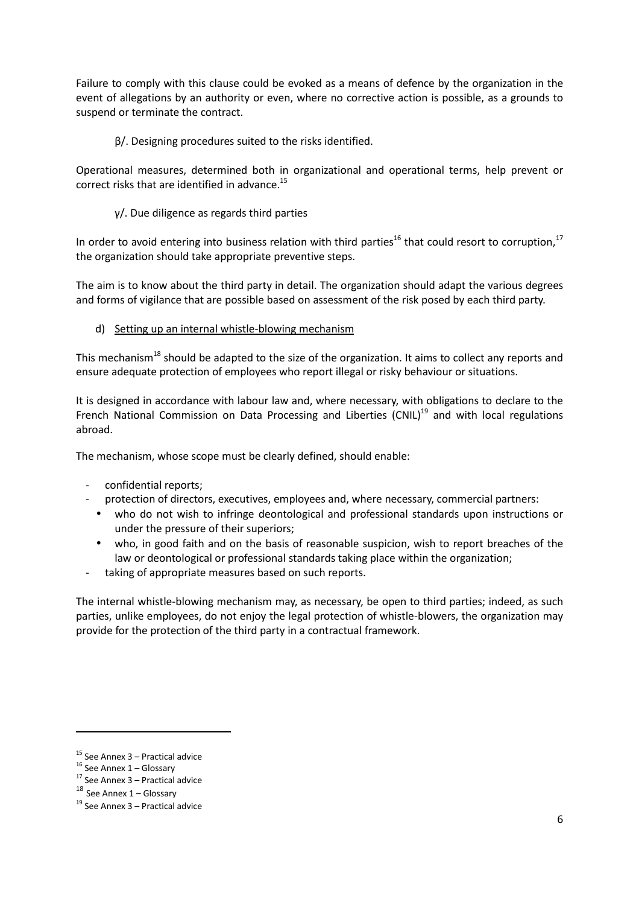Failure to comply with this clause could be evoked as a means of defence by the organization in the event of allegations by an authority or even, where no corrective action is possible, as a grounds to suspend or terminate the contract.

β/. Designing procedures suited to the risks identified.

Operational measures, determined both in organizational and operational terms, help prevent or correct risks that are identified in advance. $^{15}$ 

γ/. Due diligence as regards third parties

In order to avoid entering into business relation with third parties<sup>16</sup> that could resort to corruption,<sup>17</sup> the organization should take appropriate preventive steps.

The aim is to know about the third party in detail. The organization should adapt the various degrees and forms of vigilance that are possible based on assessment of the risk posed by each third party.

d) Setting up an internal whistle-blowing mechanism

This mechanism<sup>18</sup> should be adapted to the size of the organization. It aims to collect any reports and ensure adequate protection of employees who report illegal or risky behaviour or situations.

It is designed in accordance with labour law and, where necessary, with obligations to declare to the French National Commission on Data Processing and Liberties (CNIL) $<sup>19</sup>$  and with local regulations</sup> abroad.

The mechanism, whose scope must be clearly defined, should enable:

- confidential reports;
- protection of directors, executives, employees and, where necessary, commercial partners:
- who do not wish to infringe deontological and professional standards upon instructions or under the pressure of their superiors;
- who, in good faith and on the basis of reasonable suspicion, wish to report breaches of the law or deontological or professional standards taking place within the organization;
- taking of appropriate measures based on such reports.

The internal whistle-blowing mechanism may, as necessary, be open to third parties; indeed, as such parties, unlike employees, do not enjoy the legal protection of whistle-blowers, the organization may provide for the protection of the third party in a contractual framework.

l

 $15$  See Annex 3 – Practical advice

 $16$  See Annex  $1 -$  Glossary

 $17$  See Annex 3 – Practical advice

 $18$  See Annex 1 – Glossary

 $19$  See Annex 3 – Practical advice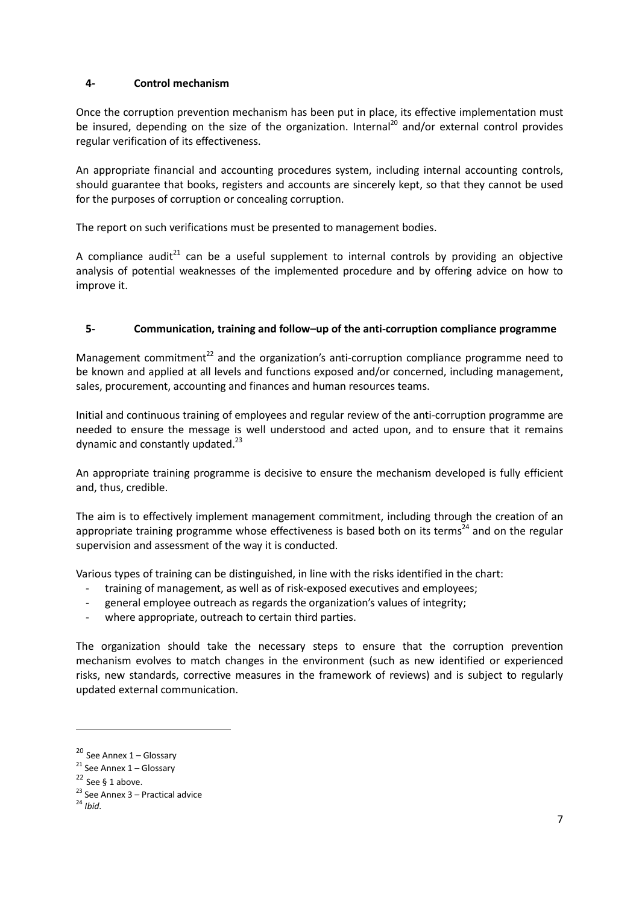# **4- Control mechanism**

Once the corruption prevention mechanism has been put in place, its effective implementation must be insured, depending on the size of the organization. Internal<sup>20</sup> and/or external control provides regular verification of its effectiveness.

An appropriate financial and accounting procedures system, including internal accounting controls, should guarantee that books, registers and accounts are sincerely kept, so that they cannot be used for the purposes of corruption or concealing corruption.

The report on such verifications must be presented to management bodies.

A compliance audit<sup>21</sup> can be a useful supplement to internal controls by providing an objective analysis of potential weaknesses of the implemented procedure and by offering advice on how to improve it.

## **5- Communication, training and follow–up of the anti-corruption compliance programme**

Management commitment<sup>22</sup> and the organization's anti-corruption compliance programme need to be known and applied at all levels and functions exposed and/or concerned, including management, sales, procurement, accounting and finances and human resources teams.

Initial and continuous training of employees and regular review of the anti-corruption programme are needed to ensure the message is well understood and acted upon, and to ensure that it remains dynamic and constantly updated. $^{23}$ 

An appropriate training programme is decisive to ensure the mechanism developed is fully efficient and, thus, credible.

The aim is to effectively implement management commitment, including through the creation of an appropriate training programme whose effectiveness is based both on its terms<sup>24</sup> and on the regular supervision and assessment of the way it is conducted.

Various types of training can be distinguished, in line with the risks identified in the chart:

- training of management, as well as of risk-exposed executives and employees;
- general employee outreach as regards the organization's values of integrity;
- where appropriate, outreach to certain third parties.

The organization should take the necessary steps to ensure that the corruption prevention mechanism evolves to match changes in the environment (such as new identified or experienced risks, new standards, corrective measures in the framework of reviews) and is subject to regularly updated external communication.

l

<sup>20</sup> See Annex 1 – Glossary

 $21$  See Annex 1 – Glossary

 $22$  See § 1 above.

<sup>&</sup>lt;sup>23</sup> See Annex  $3$  – Practical advice

<sup>24</sup> *Ibid.*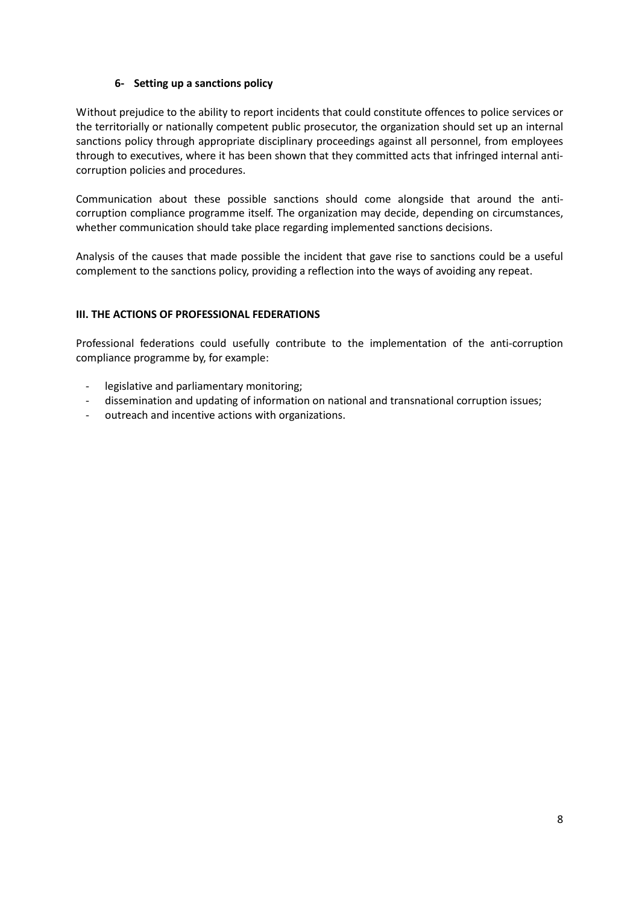# **6- Setting up a sanctions policy**

Without prejudice to the ability to report incidents that could constitute offences to police services or the territorially or nationally competent public prosecutor, the organization should set up an internal sanctions policy through appropriate disciplinary proceedings against all personnel, from employees through to executives, where it has been shown that they committed acts that infringed internal anticorruption policies and procedures.

Communication about these possible sanctions should come alongside that around the anticorruption compliance programme itself. The organization may decide, depending on circumstances, whether communication should take place regarding implemented sanctions decisions.

Analysis of the causes that made possible the incident that gave rise to sanctions could be a useful complement to the sanctions policy, providing a reflection into the ways of avoiding any repeat.

## **III. THE ACTIONS OF PROFESSIONAL FEDERATIONS**

Professional federations could usefully contribute to the implementation of the anti-corruption compliance programme by, for example:

- legislative and parliamentary monitoring;
- dissemination and updating of information on national and transnational corruption issues;
- outreach and incentive actions with organizations.